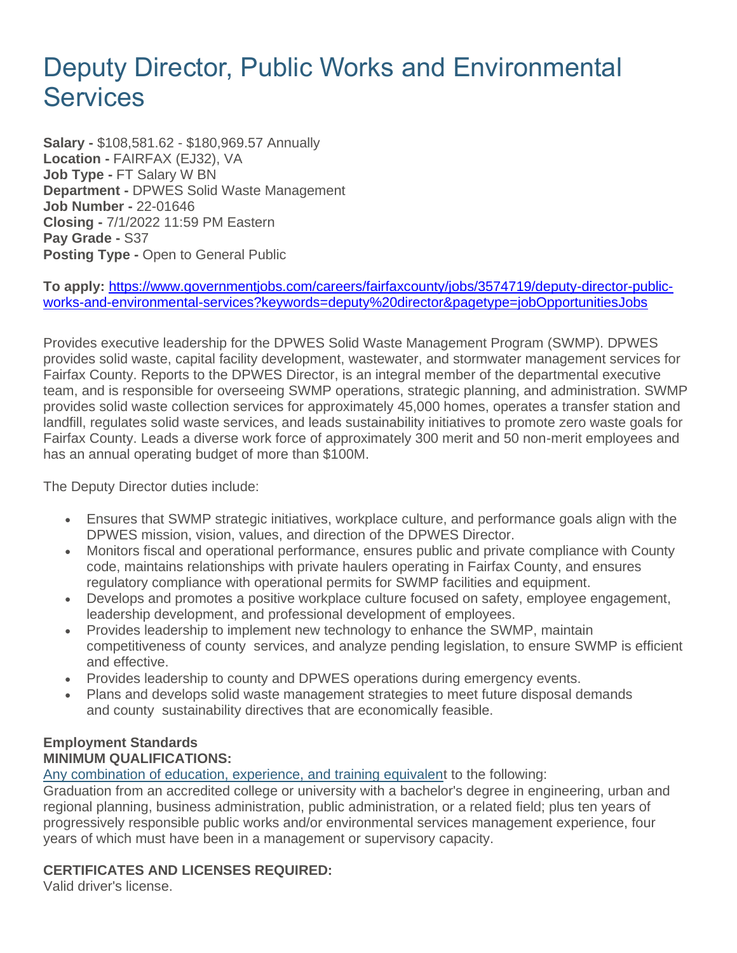# Deputy Director, Public Works and Environmental **Services**

**Salary -** \$108,581.62 - \$180,969.57 Annually **Location -** FAIRFAX (EJ32), VA **Job Type -** FT Salary W BN **Department -** DPWES Solid Waste Management **Job Number -** 22-01646 **Closing -** 7/1/2022 11:59 PM Eastern **Pay Grade -** S37 **Posting Type -** Open to General Public

**To apply:** [https://www.governmentjobs.com/careers/fairfaxcounty/jobs/3574719/deputy-director-public](https://www.governmentjobs.com/careers/fairfaxcounty/jobs/3574719/deputy-director-public-works-and-environmental-services?keywords=deputy%20director&pagetype=jobOpportunitiesJobs)[works-and-environmental-services?keywords=deputy%20director&pagetype=jobOpportunitiesJobs](https://www.governmentjobs.com/careers/fairfaxcounty/jobs/3574719/deputy-director-public-works-and-environmental-services?keywords=deputy%20director&pagetype=jobOpportunitiesJobs)

Provides executive leadership for the DPWES Solid Waste Management Program (SWMP). DPWES provides solid waste, capital facility development, wastewater, and stormwater management services for Fairfax County. Reports to the DPWES Director, is an integral member of the departmental executive team, and is responsible for overseeing SWMP operations, strategic planning, and administration. SWMP provides solid waste collection services for approximately 45,000 homes, operates a transfer station and landfill, regulates solid waste services, and leads sustainability initiatives to promote zero waste goals for Fairfax County. Leads a diverse work force of approximately 300 merit and 50 non-merit employees and has an annual operating budget of more than \$100M.

The Deputy Director duties include:

- Ensures that SWMP strategic initiatives, workplace culture, and performance goals align with the DPWES mission, vision, values, and direction of the DPWES Director.
- Monitors fiscal and operational performance, ensures public and private compliance with County code, maintains relationships with private haulers operating in Fairfax County, and ensures regulatory compliance with operational permits for SWMP facilities and equipment.
- Develops and promotes a positive workplace culture focused on safety, employee engagement, leadership development, and professional development of employees.
- Provides leadership to implement new technology to enhance the SWMP, maintain competitiveness of county services, and analyze pending legislation, to ensure SWMP is efficient and effective.
- Provides leadership to county and DPWES operations during emergency events.
- Plans and develops solid waste management strategies to meet future disposal demands and county sustainability directives that are economically feasible.

## **Employment Standards MINIMUM QUALIFICATIONS:**

[Any combination of education, experience, and training equivalent](https://www.fairfaxcounty.gov/hr/equivalencies-education-and-experience) to the following:

Graduation from an accredited college or university with a bachelor's degree in engineering, urban and regional planning, business administration, public administration, or a related field; plus ten years of progressively responsible public works and/or environmental services management experience, four years of which must have been in a management or supervisory capacity.

# **CERTIFICATES AND LICENSES REQUIRED:**

Valid driver's license.